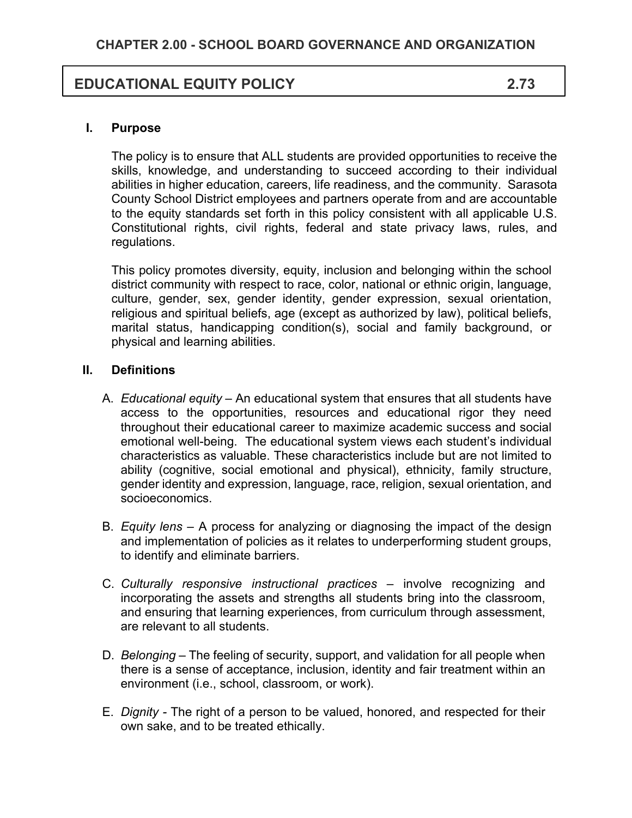# **EDUCATIONAL EQUITY POLICY 2.73**

#### **I. Purpose**

The policy is to ensure that ALL students are provided opportunities to receive the skills, knowledge, and understanding to succeed according to their individual abilities in higher education, careers, life readiness, and the community. Sarasota County School District employees and partners operate from and are accountable to the equity standards set forth in this policy consistent with all applicable U.S. Constitutional rights, civil rights, federal and state privacy laws, rules, and regulations.

This policy promotes diversity, equity, inclusion and belonging within the school district community with respect to race, color, national or ethnic origin, language, culture, gender, sex, gender identity, gender expression, sexual orientation, religious and spiritual beliefs, age (except as authorized by law), political beliefs, marital status, handicapping condition(s), social and family background, or physical and learning abilities.

#### **II. Definitions**

- A. *Educational equity* An educational system that ensures that all students have access to the opportunities, resources and educational rigor they need throughout their educational career to maximize academic success and social emotional well-being. The educational system views each student's individual characteristics as valuable. These characteristics include but are not limited to ability (cognitive, social emotional and physical), ethnicity, family structure, gender identity and expression, language, race, religion, sexual orientation, and socioeconomics.
- B. *Equity lens* A process for analyzing or diagnosing the impact of the design and implementation of policies as it relates to underperforming student groups, to identify and eliminate barriers.
- C. *Culturally responsive instructional practices –* involve recognizing and incorporating the assets and strengths all students bring into the classroom, and ensuring that learning experiences, from curriculum through assessment, are relevant to all students.
- D. *Belonging –* The feeling of security, support, and validation for all people when there is a sense of acceptance, inclusion, identity and fair treatment within an environment (i.e., school, classroom, or work).
- E. *Dignity -* The right of a person to be valued, honored, and respected for their own sake, and to be treated ethically.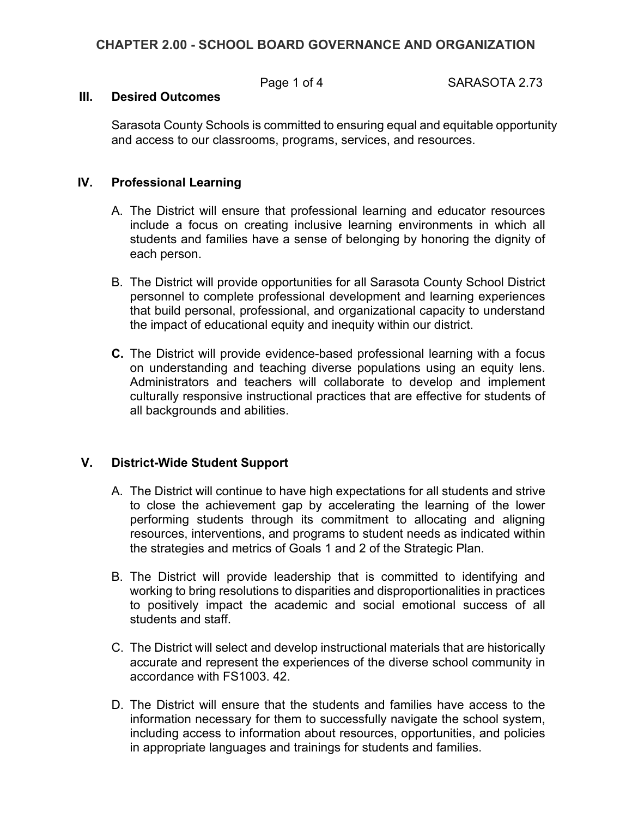## **CHAPTER 2.00 - SCHOOL BOARD GOVERNANCE AND ORGANIZATION**

Page 1 of 4 SARASOTA 2.73

#### **III. Desired Outcomes**

Sarasota County Schools is committed to ensuring equal and equitable opportunity and access to our classrooms, programs, services, and resources.

#### **IV. Professional Learning**

- A. The District will ensure that professional learning and educator resources include a focus on creating inclusive learning environments in which all students and families have a sense of belonging by honoring the dignity of each person.
- B. The District will provide opportunities for all Sarasota County School District personnel to complete professional development and learning experiences that build personal, professional, and organizational capacity to understand the impact of educational equity and inequity within our district.
- **C.** The District will provide evidence-based professional learning with a focus on understanding and teaching diverse populations using an equity lens. Administrators and teachers will collaborate to develop and implement culturally responsive instructional practices that are effective for students of all backgrounds and abilities.

# **V. District-Wide Student Support**

- A. The District will continue to have high expectations for all students and strive to close the achievement gap by accelerating the learning of the lower performing students through its commitment to allocating and aligning resources, interventions, and programs to student needs as indicated within the strategies and metrics of Goals 1 and 2 of the Strategic Plan.
- B. The District will provide leadership that is committed to identifying and working to bring resolutions to disparities and disproportionalities in practices to positively impact the academic and social emotional success of all students and staff.
- C. The District will select and develop instructional materials that are historically accurate and represent the experiences of the diverse school community in accordance with FS1003. 42.
- D. The District will ensure that the students and families have access to the information necessary for them to successfully navigate the school system, including access to information about resources, opportunities, and policies in appropriate languages and trainings for students and families.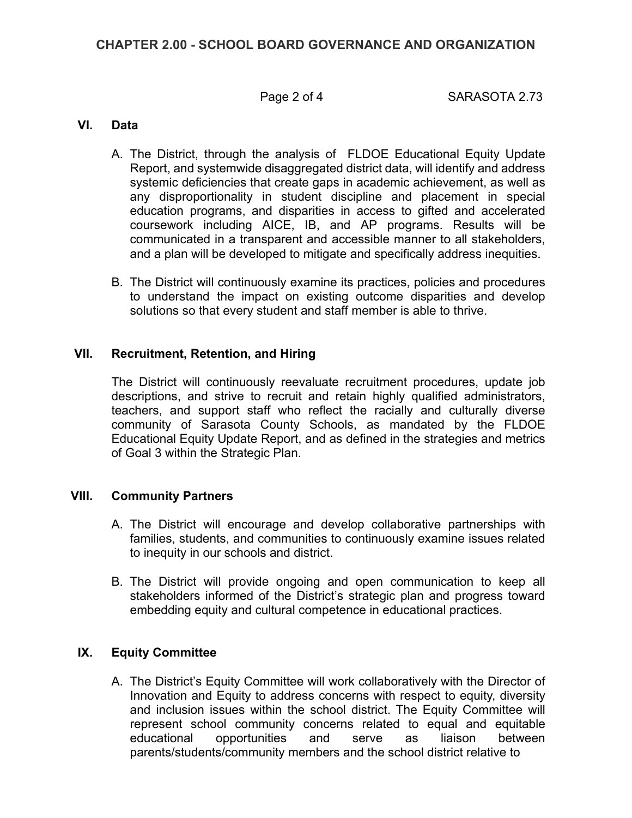## **CHAPTER 2.00 - SCHOOL BOARD GOVERNANCE AND ORGANIZATION**

Page 2 of 4 SARASOTA 2.73

## **VI. Data**

- A. The District, through the analysis of FLDOE Educational Equity Update Report, and systemwide disaggregated district data, will identify and address systemic deficiencies that create gaps in academic achievement, as well as any disproportionality in student discipline and placement in special education programs, and disparities in access to gifted and accelerated coursework including AICE, IB, and AP programs. Results will be communicated in a transparent and accessible manner to all stakeholders, and a plan will be developed to mitigate and specifically address inequities.
- B. The District will continuously examine its practices, policies and procedures to understand the impact on existing outcome disparities and develop solutions so that every student and staff member is able to thrive.

#### **VII. Recruitment, Retention, and Hiring**

The District will continuously reevaluate recruitment procedures, update job descriptions, and strive to recruit and retain highly qualified administrators, teachers, and support staff who reflect the racially and culturally diverse community of Sarasota County Schools, as mandated by the FLDOE Educational Equity Update Report, and as defined in the strategies and metrics of Goal 3 within the Strategic Plan.

#### **VIII. Community Partners**

- A. The District will encourage and develop collaborative partnerships with families, students, and communities to continuously examine issues related to inequity in our schools and district.
- B. The District will provide ongoing and open communication to keep all stakeholders informed of the District's strategic plan and progress toward embedding equity and cultural competence in educational practices.

#### **IX. Equity Committee**

A. The District's Equity Committee will work collaboratively with the Director of Innovation and Equity to address concerns with respect to equity, diversity and inclusion issues within the school district. The Equity Committee will represent school community concerns related to equal and equitable educational opportunities and serve as liaison between parents/students/community members and the school district relative to